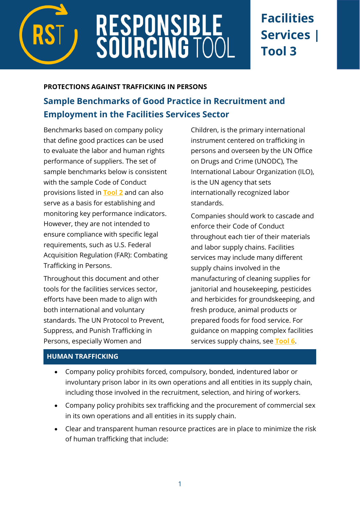

# **RESPONSIBLE<br>SOURCING TOO**

## **Facilities Services | Tool 3**

#### **PROTECTIONS AGAINST TRAFFICKING IN PERSONS**

### **Sample Benchmarks of Good Practice in Recruitment and Employment in the Facilities Services Sector**

Benchmarks based on company policy that define good practices can be used to evaluate the labor and human rights performance of suppliers. The set of sample benchmarks below is consistent with the sample Code of Conduct provisions listed in **[Tool 2](https://www.responsiblesourcingtool.org/uploads/41/RST-Food-and-Bev-Tool-01-Code-of-Conduct.pdf)** and can also serve as a basis for establishing and monitoring key performance indicators. However, they are not intended to ensure compliance with specific legal requirements, such as U.S. Federal Acquisition Regulation (FAR): Combating Trafficking in Persons.

Throughout this document and other tools for the facilities services sector, efforts have been made to align with both international and voluntary standards. The UN Protocol to Prevent, Suppress, and Punish Trafficking in Persons, especially Women and

Children, is the primary international instrument centered on trafficking in persons and overseen by the UN Office on Drugs and Crime (UNODC), The International Labour Organization (ILO), is the UN agency that sets internationally recognized labor standards.

Companies should work to cascade and enforce their Code of Conduct throughout each tier of their materials and labor supply chains. Facilities services may include many different supply chains involved in the manufacturing of cleaning supplies for janitorial and housekeeping, pesticides and herbicides for groundskeeping, and fresh produce, animal products or prepared foods for food service. For guidance on mapping complex facilities services supply chains, see **[Tool](https://www.responsiblesourcingtool.org/uploads/43/RST-Food-and-Bev-Tool-03-Mapping-Supply-Chains.pdf) 6**.

#### **HUMAN TRAFFICKING**

- Company policy prohibits forced, compulsory, bonded, indentured labor or involuntary prison labor in its own operations and all entities in its supply chain, including those involved in the recruitment, selection, and hiring of workers.
- Company policy prohibits sex trafficking and the procurement of commercial sex in its own operations and all entities in its supply chain.
- Clear and transparent human resource practices are in place to minimize the risk of human trafficking that include: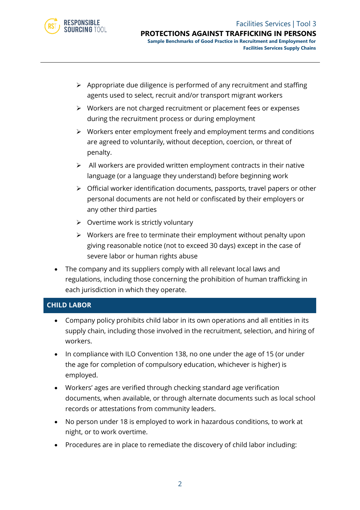

- ➢ Appropriate due diligence is performed of any recruitment and staffing agents used to select, recruit and/or transport migrant workers
- ➢ Workers are not charged recruitment or placement fees or expenses during the recruitment process or during employment
- ➢ Workers enter employment freely and employment terms and conditions are agreed to voluntarily, without deception, coercion, or threat of penalty.
- $\triangleright$  All workers are provided written employment contracts in their native language (or a language they understand) before beginning work
- ➢ Official worker identification documents, passports, travel papers or other personal documents are not held or confiscated by their employers or any other third parties
- $\triangleright$  Overtime work is strictly voluntary
- ➢ Workers are free to terminate their employment without penalty upon giving reasonable notice (not to exceed 30 days) except in the case of severe labor or human rights abuse
- The company and its suppliers comply with all relevant local laws and regulations, including those concerning the prohibition of human trafficking in each jurisdiction in which they operate.

#### **CHILD LABOR**

- Company policy prohibits child labor in its own operations and all entities in its supply chain, including those involved in the recruitment, selection, and hiring of workers.
- In compliance with ILO Convention 138, no one under the age of 15 (or under the age for completion of compulsory education, whichever is higher) is employed.
- Workers' ages are verified through checking standard age verification documents, when available, or through alternate documents such as local school records or attestations from community leaders.
- No person under 18 is employed to work in hazardous conditions, to work at night, or to work overtime.
- Procedures are in place to remediate the discovery of child labor including: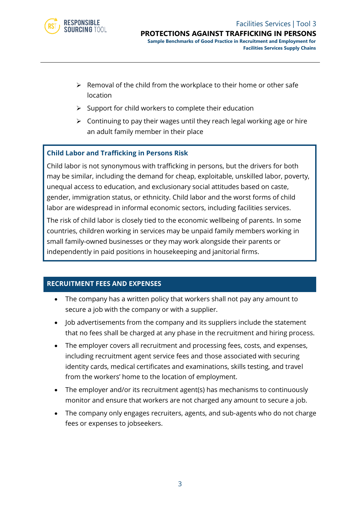

- $\triangleright$  Removal of the child from the workplace to their home or other safe location
- $\triangleright$  Support for child workers to complete their education
- ➢ Continuing to pay their wages until they reach legal working age or hire an adult family member in their place

#### **Child Labor and Trafficking in Persons Risk**

Child labor is not synonymous with trafficking in persons, but the drivers for both may be similar, including the demand for cheap, exploitable, unskilled labor, poverty, unequal access to education, and exclusionary social attitudes based on caste, gender, immigration status, or ethnicity. Child labor and the worst forms of child labor are widespread in informal economic sectors, including facilities services.

The risk of child labor is closely tied to the economic wellbeing of parents. In some countries, children working in services may be unpaid family members working in small family-owned businesses or they may work alongside their parents or independently in paid positions in housekeeping and janitorial firms.

#### **RECRUITMENT FEES AND EXPENSES**

- The company has a written policy that workers shall not pay any amount to secure a job with the company or with a supplier.
- Job advertisements from the company and its suppliers include the statement that no fees shall be charged at any phase in the recruitment and hiring process.
- The employer covers all recruitment and processing fees, costs, and expenses, including recruitment agent service fees and those associated with securing identity cards, medical certificates and examinations, skills testing, and travel from the workers' home to the location of employment.
- The employer and/or its recruitment agent(s) has mechanisms to continuously monitor and ensure that workers are not charged any amount to secure a job.
- The company only engages recruiters, agents, and sub-agents who do not charge fees or expenses to jobseekers.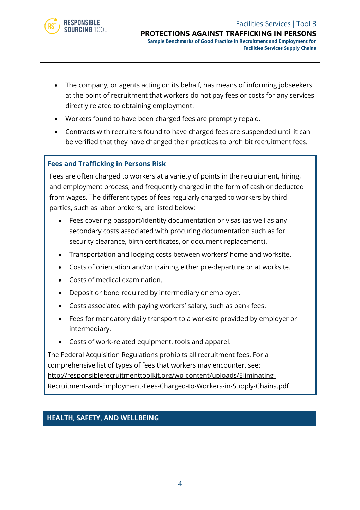

- The company, or agents acting on its behalf, has means of informing jobseekers at the point of recruitment that workers do not pay fees or costs for any services directly related to obtaining employment.
- Workers found to have been charged fees are promptly repaid.
- Contracts with recruiters found to have charged fees are suspended until it can be verified that they have changed their practices to prohibit recruitment fees.

#### **Fees and Trafficking in Persons Risk**

Fees are often charged to workers at a variety of points in the recruitment, hiring, and employment process, and frequently charged in the form of cash or deducted from wages. The different types of fees regularly charged to workers by third parties, such as labor brokers, are listed below:

- Fees covering passport/identity documentation or visas (as well as any secondary costs associated with procuring documentation such as for security clearance, birth certificates, or document replacement).
- Transportation and lodging costs between workers' home and worksite.
- Costs of orientation and/or training either pre-departure or at worksite.
- Costs of medical examination.
- Deposit or bond required by intermediary or employer.
- Costs associated with paying workers' salary, such as bank fees.
- Fees for mandatory daily transport to a worksite provided by employer or intermediary.
- Costs of work-related equipment, tools and apparel.

The Federal Acquisition Regulations prohibits all recruitment fees. For a comprehensive list of types of fees that workers may encounter, see: [http://responsiblerecruitmenttoolkit.org/wp-content/uploads/Eliminating-](http://responsiblerecruitmenttoolkit.org/wp-content/uploads/Eliminating-Recruitment-and-Employment-Fees-Charged-to-Workers-in-Supply-Chains.pdf)[Recruitment-and-Employment-Fees-Charged-to-Workers-in-Supply-Chains.pdf](http://responsiblerecruitmenttoolkit.org/wp-content/uploads/Eliminating-Recruitment-and-Employment-Fees-Charged-to-Workers-in-Supply-Chains.pdf)

#### **HEALTH, SAFETY, AND WELLBEING**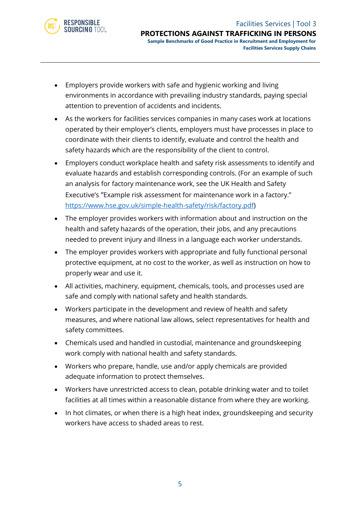

- Employers provide workers with safe and hygienic working and living environments in accordance with prevailing industry standards, paying special attention to prevention of accidents and incidents.
- As the workers for facilities services companies in many cases work at locations operated by their employer's clients, employers must have processes in place to coordinate with their clients to identify, evaluate and control the health and safety hazards which are the responsibility of the client to control.
- Employers conduct workplace health and safety risk assessments to identify and evaluate hazards and establish corresponding controls. (For an example of such an analysis for factory maintenance work, see the UK Health and Safety Executive's "Example risk assessment for maintenance work in a factory." [https://www.hse.gov.uk/simple-health-safety/risk/factory.pdf\)](https://www.hse.gov.uk/simple-health-safety/risk/factory.pdf)
- The employer provides workers with information about and instruction on the health and safety hazards of the operation, their jobs, and any precautions needed to prevent injury and illness in a language each worker understands.
- The employer provides workers with appropriate and fully functional personal protective equipment, at no cost to the worker, as well as instruction on how to properly wear and use it.
- All activities, machinery, equipment, chemicals, tools, and processes used are safe and comply with national safety and health standards.
- Workers participate in the development and review of health and safety measures, and where national law allows, select representatives for health and safety committees.
- Chemicals used and handled in custodial, maintenance and groundskeeping work comply with national health and safety standards.
- Workers who prepare, handle, use and/or apply chemicals are provided adequate information to protect themselves.
- Workers have unrestricted access to clean, potable drinking water and to toilet facilities at all times within a reasonable distance from where they are working.
- In hot climates, or when there is a high heat index, groundskeeping and security workers have access to shaded areas to rest.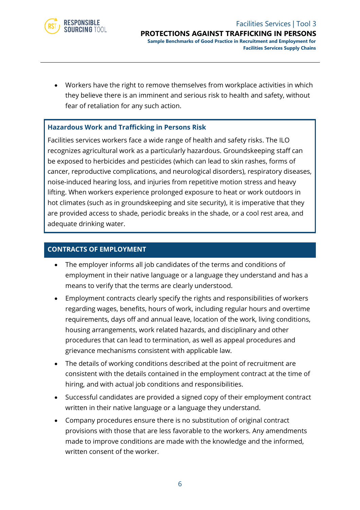

• Workers have the right to remove themselves from workplace activities in which they believe there is an imminent and serious risk to health and safety, without fear of retaliation for any such action.

#### **Hazardous Work and Trafficking in Persons Risk**

Facilities services workers face a wide range of health and safety risks. The ILO recognizes agricultural work as a particularly hazardous. Groundskeeping staff can be exposed to herbicides and pesticides (which can lead to skin rashes, forms of cancer, reproductive complications, and neurological disorders), respiratory diseases, noise-induced hearing loss, and injuries from repetitive motion stress and heavy lifting. When workers experience prolonged exposure to heat or work outdoors in hot climates (such as in groundskeeping and site security), it is imperative that they are provided access to shade, periodic breaks in the shade, or a cool rest area, and adequate drinking water.

#### **CONTRACTS OF EMPLOYMENT**

- The employer informs all job candidates of the terms and conditions of employment in their native language or a language they understand and has a means to verify that the terms are clearly understood.
- Employment contracts clearly specify the rights and responsibilities of workers regarding wages, benefits, hours of work, including regular hours and overtime requirements, days off and annual leave, location of the work, living conditions, housing arrangements, work related hazards, and disciplinary and other procedures that can lead to termination, as well as appeal procedures and grievance mechanisms consistent with applicable law.
- The details of working conditions described at the point of recruitment are consistent with the details contained in the employment contract at the time of hiring, and with actual job conditions and responsibilities.
- Successful candidates are provided a signed copy of their employment contract written in their native language or a language they understand.
- Company procedures ensure there is no substitution of original contract provisions with those that are less favorable to the workers. Any amendments made to improve conditions are made with the knowledge and the informed, written consent of the worker.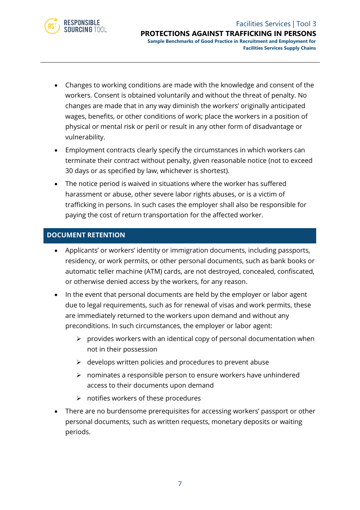

- Changes to working conditions are made with the knowledge and consent of the workers. Consent is obtained voluntarily and without the threat of penalty. No changes are made that in any way diminish the workers' originally anticipated wages, benefits, or other conditions of work; place the workers in a position of physical or mental risk or peril or result in any other form of disadvantage or vulnerability.
- Employment contracts clearly specify the circumstances in which workers can terminate their contract without penalty, given reasonable notice (not to exceed 30 days or as specified by law, whichever is shortest).
- The notice period is waived in situations where the worker has suffered harassment or abuse, other severe labor rights abuses, or is a victim of trafficking in persons. In such cases the employer shall also be responsible for paying the cost of return transportation for the affected worker.

#### **DOCUMENT RETENTION**

- Applicants' or workers' identity or immigration documents, including passports, residency, or work permits, or other personal documents, such as bank books or automatic teller machine (ATM) cards, are not destroyed, concealed, confiscated, or otherwise denied access by the workers, for any reason.
- In the event that personal documents are held by the employer or labor agent due to legal requirements, such as for renewal of visas and work permits, these are immediately returned to the workers upon demand and without any preconditions. In such circumstances, the employer or labor agent:
	- $\triangleright$  provides workers with an identical copy of personal documentation when not in their possession
	- $\triangleright$  develops written policies and procedures to prevent abuse
	- ➢ nominates a responsible person to ensure workers have unhindered access to their documents upon demand
	- $\triangleright$  notifies workers of these procedures
- There are no burdensome prerequisites for accessing workers' passport or other personal documents, such as written requests, monetary deposits or waiting periods.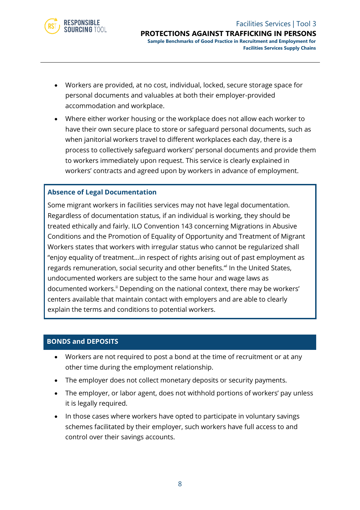

- Workers are provided, at no cost, individual, locked, secure storage space for personal documents and valuables at both their employer-provided accommodation and workplace.
- Where either worker housing or the workplace does not allow each worker to have their own secure place to store or safeguard personal documents, such as when janitorial workers travel to different workplaces each day, there is a process to collectively safeguard workers' personal documents and provide them to workers immediately upon request. This service is clearly explained in workers' contracts and agreed upon by workers in advance of employment.

#### **Absence of Legal Documentation**

Some migrant workers in facilities services may not have legal documentation. Regardless of documentation status, if an individual is working, they should be treated ethically and fairly. ILO Convention 143 concerning Migrations in Abusive Conditions and the Promotion of Equality of Opportunity and Treatment of Migrant Workers states that workers with irregular status who cannot be regularized shall "enjoy equality of treatment…in respect of rights arising out of past employment as regards remuneration, social security and other benefits." In the United States, undocumented workers are subject to the same hour and wage laws as documented workers.<sup>ii</sup> Depending on the national context, there may be workers' centers available that maintain contact with employers and are able to clearly explain the terms and conditions to potential workers.

#### **BONDS and DEPOSITS**

- Workers are not required to post a bond at the time of recruitment or at any other time during the employment relationship.
- The employer does not collect monetary deposits or security payments.
- The employer, or labor agent, does not withhold portions of workers' pay unless it is legally required.
- In those cases where workers have opted to participate in voluntary savings schemes facilitated by their employer, such workers have full access to and control over their savings accounts.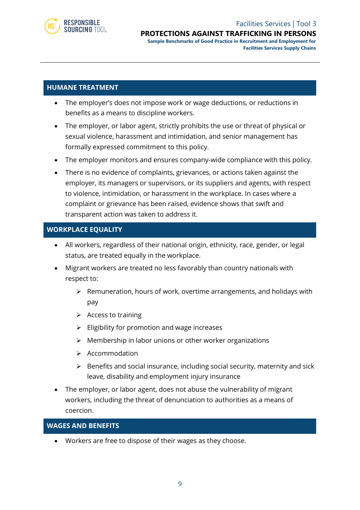

#### Facilities Services | Tool 3 **PROTECTIONS AGAINST TRAFFICKING IN PERSONS**

**Sample Benchmarks of Good Practice in Recruitment and Employment for Facilities Services Supply Chains**

#### **HUMANE TREATMENT**

- The employer's does not impose work or wage deductions, or reductions in benefits as a means to discipline workers.
- The employer, or labor agent, strictly prohibits the use or threat of physical or sexual violence, harassment and intimidation, and senior management has formally expressed commitment to this policy.
- The employer monitors and ensures company-wide compliance with this policy.
- There is no evidence of complaints, grievances, or actions taken against the employer, its managers or supervisors, or its suppliers and agents, with respect to violence, intimidation, or harassment in the workplace. In cases where a complaint or grievance has been raised, evidence shows that swift and transparent action was taken to address it.

#### **WORKPLACE EQUALITY**

- All workers, regardless of their national origin, ethnicity, race, gender, or legal status, are treated equally in the workplace.
- Migrant workers are treated no less favorably than country nationals with respect to:
	- ➢ Remuneration, hours of work, overtime arrangements, and holidays with pay
	- $\triangleright$  Access to training
	- $\triangleright$  Eligibility for promotion and wage increases
	- ➢ Membership in labor unions or other worker organizations
	- ➢ Accommodation
	- ➢ Benefits and social insurance, including social security, maternity and sick leave, disability and employment injury insurance
- The employer, or labor agent, does not abuse the vulnerability of migrant workers, including the threat of denunciation to authorities as a means of coercion.

#### **WAGES AND BENEFITS**

• Workers are free to dispose of their wages as they choose.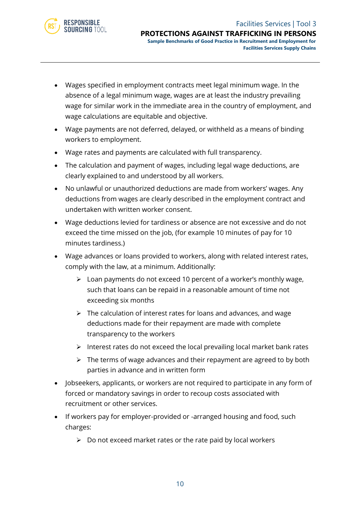

- Wages specified in employment contracts meet legal minimum wage. In the absence of a legal minimum wage, wages are at least the industry prevailing wage for similar work in the immediate area in the country of employment, and wage calculations are equitable and objective.
- Wage payments are not deferred, delayed, or withheld as a means of binding workers to employment.
- Wage rates and payments are calculated with full transparency.
- The calculation and payment of wages, including legal wage deductions, are clearly explained to and understood by all workers.
- No unlawful or unauthorized deductions are made from workers' wages. Any deductions from wages are clearly described in the employment contract and undertaken with written worker consent.
- Wage deductions levied for tardiness or absence are not excessive and do not exceed the time missed on the job, (for example 10 minutes of pay for 10 minutes tardiness.)
- Wage advances or loans provided to workers, along with related interest rates, comply with the law, at a minimum. Additionally:
	- ➢ Loan payments do not exceed 10 percent of a worker's monthly wage, such that loans can be repaid in a reasonable amount of time not exceeding six months
	- ➢ The calculation of interest rates for loans and advances, and wage deductions made for their repayment are made with complete transparency to the workers
	- ➢ Interest rates do not exceed the local prevailing local market bank rates
	- $\triangleright$  The terms of wage advances and their repayment are agreed to by both parties in advance and in written form
- Jobseekers, applicants, or workers are not required to participate in any form of forced or mandatory savings in order to recoup costs associated with recruitment or other services.
- If workers pay for employer-provided or -arranged housing and food, such charges:
	- $\triangleright$  Do not exceed market rates or the rate paid by local workers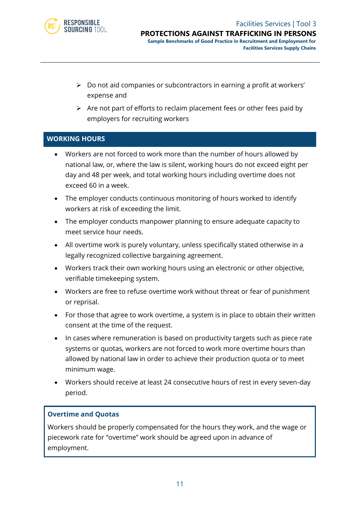

- ➢ Do not aid companies or subcontractors in earning a profit at workers' expense and
- $\triangleright$  Are not part of efforts to reclaim placement fees or other fees paid by employers for recruiting workers

#### **WORKING HOURS**

- Workers are not forced to work more than the number of hours allowed by national law, or, where the law is silent, working hours do not exceed eight per day and 48 per week, and total working hours including overtime does not exceed 60 in a week.
- The employer conducts continuous monitoring of hours worked to identify workers at risk of exceeding the limit.
- The employer conducts manpower planning to ensure adequate capacity to meet service hour needs.
- All overtime work is purely voluntary, unless specifically stated otherwise in a legally recognized collective bargaining agreement.
- Workers track their own working hours using an electronic or other objective, verifiable timekeeping system.
- Workers are free to refuse overtime work without threat or fear of punishment or reprisal.
- For those that agree to work overtime, a system is in place to obtain their written consent at the time of the request.
- In cases where remuneration is based on productivity targets such as piece rate systems or quotas, workers are not forced to work more overtime hours than allowed by national law in order to achieve their production quota or to meet minimum wage.
- Workers should receive at least 24 consecutive hours of rest in every seven-day period.

#### **Overtime and Quotas**

Workers should be properly compensated for the hours they work, and the wage or piecework rate for "overtime" work should be agreed upon in advance of employment.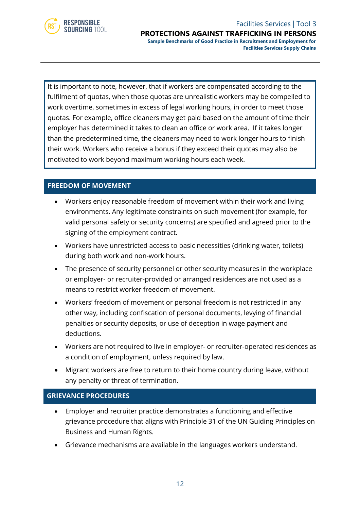

**PROTECTIONS AGAINST TRAFFICKING IN PERSONS Sample Benchmarks of Good Practice in Recruitment and Employment for**

**Facilities Services Supply Chains**

It is important to note, however, that if workers are compensated according to the fulfilment of quotas, when those quotas are unrealistic workers may be compelled to work overtime, sometimes in excess of legal working hours, in order to meet those quotas. For example, office cleaners may get paid based on the amount of time their employer has determined it takes to clean an office or work area. If it takes longer than the predetermined time, the cleaners may need to work longer hours to finish their work. Workers who receive a bonus if they exceed their quotas may also be motivated to work beyond maximum working hours each week.

#### **FREEDOM OF MOVEMENT**

- Workers enjoy reasonable freedom of movement within their work and living environments. Any legitimate constraints on such movement (for example, for valid personal safety or security concerns) are specified and agreed prior to the signing of the employment contract.
- Workers have unrestricted access to basic necessities (drinking water, toilets) during both work and non-work hours.
- The presence of security personnel or other security measures in the workplace or employer- or recruiter-provided or arranged residences are not used as a means to restrict worker freedom of movement.
- Workers' freedom of movement or personal freedom is not restricted in any other way, including confiscation of personal documents, levying of financial penalties or security deposits, or use of deception in wage payment and deductions.
- Workers are not required to live in employer- or recruiter-operated residences as a condition of employment, unless required by law.
- Migrant workers are free to return to their home country during leave, without any penalty or threat of termination.

#### **GRIEVANCE PROCEDURES**

- Employer and recruiter practice demonstrates a functioning and effective grievance procedure that aligns with Principle 31 of the UN Guiding Principles on Business and Human Rights.
- Grievance mechanisms are available in the languages workers understand.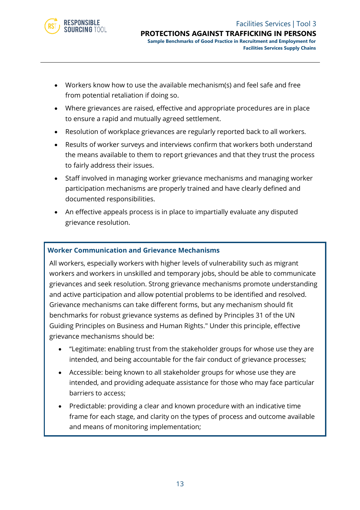

- Workers know how to use the available mechanism(s) and feel safe and free from potential retaliation if doing so.
- Where grievances are raised, effective and appropriate procedures are in place to ensure a rapid and mutually agreed settlement.
- Resolution of workplace grievances are regularly reported back to all workers.
- Results of worker surveys and interviews confirm that workers both understand the means available to them to report grievances and that they trust the process to fairly address their issues.
- Staff involved in managing worker grievance mechanisms and managing worker participation mechanisms are properly trained and have clearly defined and documented responsibilities.
- An effective appeals process is in place to impartially evaluate any disputed grievance resolution.

#### **Worker Communication and Grievance Mechanisms**

All workers, especially workers with higher levels of vulnerability such as migrant workers and workers in unskilled and temporary jobs, should be able to communicate grievances and seek resolution. Strong grievance mechanisms promote understanding and active participation and allow potential problems to be identified and resolved. Grievance mechanisms can take different forms, but any mechanism should fit benchmarks for robust grievance systems as defined by Principles 31 of the UN Guiding Principles on Business and Human Rights." Under this principle, effective grievance mechanisms should be:

- "Legitimate: enabling trust from the stakeholder groups for whose use they are intended, and being accountable for the fair conduct of grievance processes;
- Accessible: being known to all stakeholder groups for whose use they are intended, and providing adequate assistance for those who may face particular barriers to access;
- Predictable: providing a clear and known procedure with an indicative time frame for each stage, and clarity on the types of process and outcome available and means of monitoring implementation;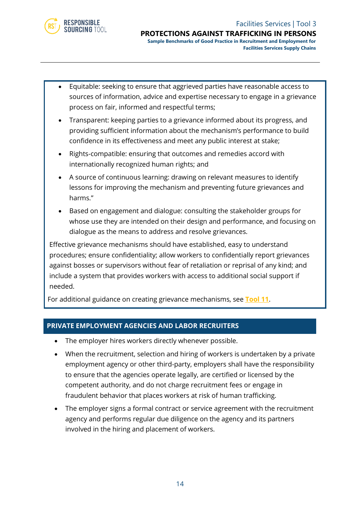

- Equitable: seeking to ensure that aggrieved parties have reasonable access to sources of information, advice and expertise necessary to engage in a grievance process on fair, informed and respectful terms;
- Transparent: keeping parties to a grievance informed about its progress, and providing sufficient information about the mechanism's performance to build confidence in its effectiveness and meet any public interest at stake;
- Rights-compatible: ensuring that outcomes and remedies accord with internationally recognized human rights; and
- A source of continuous learning: drawing on relevant measures to identify lessons for improving the mechanism and preventing future grievances and harms."
- Based on engagement and dialogue: consulting the stakeholder groups for whose use they are intended on their design and performance, and focusing on dialogue as the means to address and resolve grievances.

Effective grievance mechanisms should have established, easy to understand procedures; ensure confidentiality; allow workers to confidentially report grievances against bosses or supervisors without fear of retaliation or reprisal of any kind; and include a system that provides workers with access to additional social support if needed.

For additional guidance on creating grievance mechanisms, see **[Tool 11](https://www.responsiblesourcingtool.org/uploads/48/RST-Food-and-Bev-Tool-08-Worker-Empowerment.pdf)**.

#### **PRIVATE EMPLOYMENT AGENCIES AND LABOR RECRUITERS**

- The employer hires workers directly whenever possible.
- When the recruitment, selection and hiring of workers is undertaken by a private employment agency or other third-party, employers shall have the responsibility to ensure that the agencies operate legally, are certified or licensed by the competent authority, and do not charge recruitment fees or engage in fraudulent behavior that places workers at risk of human trafficking.
- The employer signs a formal contract or service agreement with the recruitment agency and performs regular due diligence on the agency and its partners involved in the hiring and placement of workers.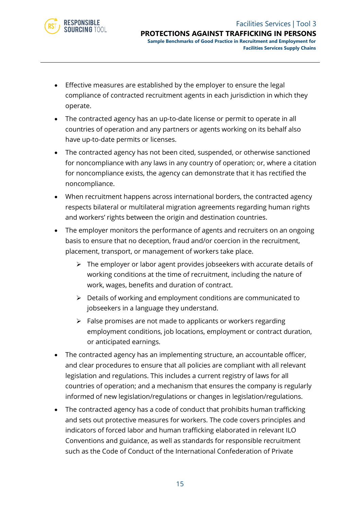

• Effective measures are established by the employer to ensure the legal compliance of contracted recruitment agents in each jurisdiction in which they operate.

**RESPONSIBLE** SOURCING TOOL

- The contracted agency has an up-to-date license or permit to operate in all countries of operation and any partners or agents working on its behalf also have up-to-date permits or licenses.
- The contracted agency has not been cited, suspended, or otherwise sanctioned for noncompliance with any laws in any country of operation; or, where a citation for noncompliance exists, the agency can demonstrate that it has rectified the noncompliance.
- When recruitment happens across international borders, the contracted agency respects bilateral or multilateral migration agreements regarding human rights and workers' rights between the origin and destination countries.
- The employer monitors the performance of agents and recruiters on an ongoing basis to ensure that no deception, fraud and/or coercion in the recruitment, placement, transport, or management of workers take place.
	- ➢ The employer or labor agent provides jobseekers with accurate details of working conditions at the time of recruitment, including the nature of work, wages, benefits and duration of contract.
	- ➢ Details of working and employment conditions are communicated to jobseekers in a language they understand.
	- ➢ False promises are not made to applicants or workers regarding employment conditions, job locations, employment or contract duration, or anticipated earnings.
- The contracted agency has an implementing structure, an accountable officer, and clear procedures to ensure that all policies are compliant with all relevant legislation and regulations. This includes a current registry of laws for all countries of operation; and a mechanism that ensures the company is regularly informed of new legislation/regulations or changes in legislation/regulations.
- The contracted agency has a code of conduct that prohibits human trafficking and sets out protective measures for workers. The code covers principles and indicators of forced labor and human trafficking elaborated in relevant ILO Conventions and guidance, as well as standards for responsible recruitment such as the Code of Conduct of the International Confederation of Private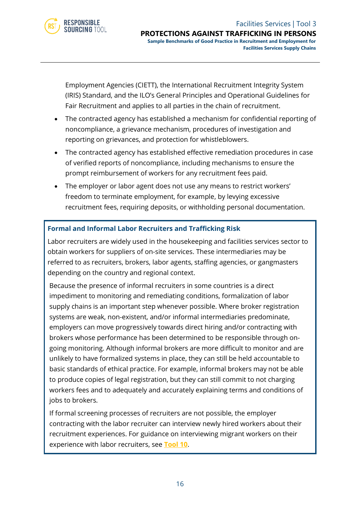

Employment Agencies (CIETT), the International Recruitment Integrity System (IRIS) Standard, and the ILO's General Principles and Operational Guidelines for Fair Recruitment and applies to all parties in the chain of recruitment.

- The contracted agency has established a mechanism for confidential reporting of noncompliance, a grievance mechanism, procedures of investigation and reporting on grievances, and protection for whistleblowers.
- The contracted agency has established effective remediation procedures in case of verified reports of noncompliance, including mechanisms to ensure the prompt reimbursement of workers for any recruitment fees paid.
- The employer or labor agent does not use any means to restrict workers' freedom to terminate employment, for example, by levying excessive recruitment fees, requiring deposits, or withholding personal documentation.

#### **Formal and Informal Labor Recruiters and Trafficking Risk**

Labor recruiters are widely used in the housekeeping and facilities services sector to obtain workers for suppliers of on-site services. These intermediaries may be referred to as recruiters, brokers, labor agents, staffing agencies, or gangmasters depending on the country and regional context.

Because the presence of informal recruiters in some countries is a direct impediment to monitoring and remediating conditions, formalization of labor supply chains is an important step whenever possible. Where broker registration systems are weak, non-existent, and/or informal intermediaries predominate, employers can move progressively towards direct hiring and/or contracting with brokers whose performance has been determined to be responsible through ongoing monitoring. Although informal brokers are more difficult to monitor and are unlikely to have formalized systems in place, they can still be held accountable to basic standards of ethical practice. For example, informal brokers may not be able to produce copies of legal registration, but they can still commit to not charging workers fees and to adequately and accurately explaining terms and conditions of jobs to brokers.

If formal screening processes of recruiters are not possible, the employer contracting with the labor recruiter can interview newly hired workers about their recruitment experiences. For guidance on interviewing migrant workers on their experience with labor recruiters, see **[Tool 10](https://www.responsiblesourcingtool.org/uploads/47/RST-Food-and-Bev-Tool-07-Conducting-Migrant-Worker-Interview.pdf)**.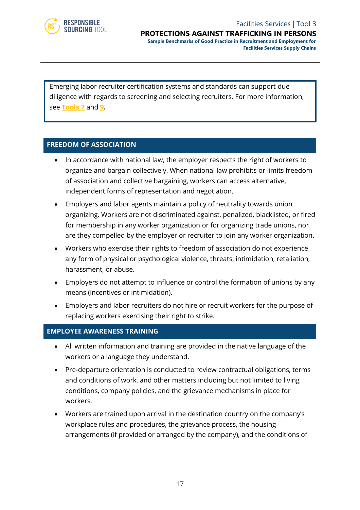

#### Facilities Services | Tool 3 **PROTECTIONS AGAINST TRAFFICKING IN PERSONS Sample Benchmarks of Good Practice in Recruitment and Employment for**

**Facilities Services Supply Chains**

Emerging labor recruiter certification systems and standards can support due diligence with regards to screening and selecting recruiters. For more information, see **[Tools 7](https://www.responsiblesourcingtool.org/uploads/45/RST-Food-and-Bev-Tool-05-Criteria-for-Screening.pdf)** and **9.**

#### **FREEDOM OF ASSOCIATION**

- In accordance with national law, the employer respects the right of workers to organize and bargain collectively. When national law prohibits or limits freedom of association and collective bargaining, workers can access alternative, independent forms of representation and negotiation.
- Employers and labor agents maintain a policy of neutrality towards union organizing. Workers are not discriminated against, penalized, blacklisted, or fired for membership in any worker organization or for organizing trade unions, nor are they compelled by the employer or recruiter to join any worker organization.
- Workers who exercise their rights to freedom of association do not experience any form of physical or psychological violence, threats, intimidation, retaliation, harassment, or abuse.
- Employers do not attempt to influence or control the formation of unions by any means (incentives or intimidation).
- Employers and labor recruiters do not hire or recruit workers for the purpose of replacing workers exercising their right to strike.

#### **EMPLOYEE AWARENESS TRAINING**

- All written information and training are provided in the native language of the workers or a language they understand.
- Pre-departure orientation is conducted to review contractual obligations, terms and conditions of work, and other matters including but not limited to living conditions, company policies, and the grievance mechanisms in place for workers.
- Workers are trained upon arrival in the destination country on the company's workplace rules and procedures, the grievance process, the housing arrangements (if provided or arranged by the company), and the conditions of